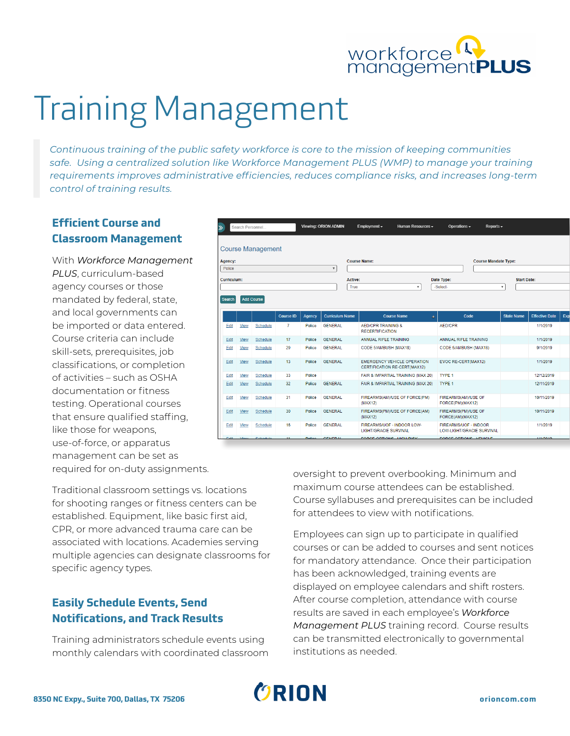

# Training Management

*Continuous training of the public safety workforce is core to the mission of keeping communities safe. Using a centralized solution like Workforce Management PLUS (WMP) to manage your training requirements improves administrative efficiencies, reduces compliance risks, and increases long-term control of training results.*

## **Efficient Course and Classroom Management**

With *Workforce Management PLUS*, curriculum-based agency courses or those mandated by federal, state, and local governments can be imported or data entered. Course criteria can include skill-sets, prerequisites, job classifications, or completion of activities – such as OSHA documentation or fitness testing. Operational courses that ensure qualified staffing, like those for weapons, use-of-force, or apparatus management can be set as required for on-duty assignments.

Traditional classroom settings vs. locations for shooting ranges or fitness centers can be established. Equipment, like basic first aid, CPR, or more advanced trauma care can be associated with locations. Academies serving multiple agencies can designate classrooms for specific agency types.

## **Easily Schedule Events, Send Notifications, and Track Results**

Training administrators schedule events using monthly calendars with coordinated classroom

| Viewing: ORION ADMIN<br>Search Personnel<br>≫ |      |                          |                  |               |                        |  | Employment $\star$                                      | Human Resources -                                                  |                             | Operations $\sim$                                         | Reports $\sim$ |                           |                       |     |
|-----------------------------------------------|------|--------------------------|------------------|---------------|------------------------|--|---------------------------------------------------------|--------------------------------------------------------------------|-----------------------------|-----------------------------------------------------------|----------------|---------------------------|-----------------------|-----|
|                                               |      | <b>Course Management</b> |                  |               |                        |  |                                                         |                                                                    |                             |                                                           |                |                           |                       |     |
| Agency:                                       |      |                          |                  |               |                        |  | <b>Course Name:</b>                                     |                                                                    | <b>Course Mandate Type:</b> |                                                           |                |                           |                       |     |
| Police<br>$\overline{\mathbf{v}}$             |      |                          |                  |               |                        |  |                                                         |                                                                    |                             |                                                           |                |                           |                       |     |
| Curriculum:                                   |      |                          |                  |               |                        |  | Active:                                                 |                                                                    |                             | Date Type:                                                |                | <b>Start Date:</b>        |                       |     |
|                                               |      |                          |                  |               |                        |  | True<br>$\overline{\mathbf{v}}$                         |                                                                    |                             | -Select-                                                  |                | $\boldsymbol{\mathrm{v}}$ |                       |     |
| <b>Search</b>                                 |      | <b>Add Course</b>        |                  |               |                        |  |                                                         |                                                                    |                             |                                                           |                |                           |                       |     |
|                                               |      |                          | <b>Course ID</b> | Agency        | <b>Curriculum Name</b> |  |                                                         | <b>Course Name</b>                                                 | A.                          | Code                                                      |                | <b>State Name</b>         | <b>Effective Date</b> | Exp |
| Edit                                          | View | <b>Schedule</b>          | $\overline{7}$   | Police        | <b>GENERAL</b>         |  | <b>AFD/CPR TRAINING &amp;</b><br><b>RECERTIFICATION</b> |                                                                    |                             | <b>AED/CPR</b>                                            |                |                           | 1/1/2019              |     |
| Edit                                          | View | Schedule                 | 17               | Police        | <b>GENERAL</b>         |  | ANNUAL RIFLE TRAINING                                   |                                                                    |                             | <b>ANNUAL RIFLE TRAINING</b>                              |                |                           | 1/1/2019              |     |
| Edit                                          | View | Schedule                 | 29               | Police        | <b>GENERAL</b>         |  | CODE 5/AMBUSH (MAX18)                                   |                                                                    |                             | CODE 5/AMBUSH (MAX18)                                     |                |                           | 9/1/2019              |     |
| Edit                                          | View | Schedule                 | 13               | Police        | <b>GENERAL</b>         |  |                                                         | <b>EMERGENCY VEHICLE OPERATION</b><br>CERTIFICATION RE-CERT(MAX12) |                             | EVOC RE-CERT(MAX12)                                       |                |                           | 1/1/2019              |     |
| Edit                                          | View | Schedule                 | 33               | Police        |                        |  |                                                         | FAIR & IMPARTIAL TRAINING (MAX 20)                                 |                             | <b>TYPE 1</b>                                             |                |                           | 12/12/2019            |     |
| Edit                                          | View | Schedule                 | 32               | Police        | <b>GENERAL</b>         |  |                                                         | FAIR & IMPARTIAL TRAINING (MAX 20)                                 |                             | TYPE 1                                                    |                |                           | 12/11/2019            |     |
| Edit                                          | View | Schedule                 | 31               | Police        | <b>GENERAL</b>         |  | (MAX12)                                                 | FIREARMS(AM)/USE OF FORCE(PM)                                      |                             | FIREARMS(AM)/USE OF<br>FORCE(PM)(MAX12)                   |                |                           | 10/11/2019            |     |
| Edit                                          | View | <b>Schedule</b>          | 30               | Police        | <b>GENERAL</b>         |  | (MAX12)                                                 | FIREARMS(PM)/USE OF FORCE(AM)                                      |                             | FIREARMS(PM)/USE OF<br>FORCE(AM)(MAX12)                   |                |                           | 10/11/2019            |     |
| Edit                                          | View | Schedule                 | 16               | Police        | <b>GENERAL</b>         |  | <b>LIGHT/GRACIE SURVIVAL</b>                            | FIREARMS/UOF - INDOOR LOW-                                         |                             | <b>FIREARMS/UOF - INDOOR</b><br>LOW-LIGHT/GRACIE SURVIVAL |                |                           | 1/1/2019              |     |
| Edit.                                         | Minu | <b>Cohodulo</b>          | 44.              | <b>Dollen</b> | <b>GENEDAL</b>         |  | EORCE ORTIONS LIIGH RISK                                |                                                                    |                             | EORCE ORTIONS VEHICLE                                     |                |                           | 1/1/2010              |     |

oversight to prevent overbooking. Minimum and maximum course attendees can be established. Course syllabuses and prerequisites can be included for attendees to view with notifications.

Employees can sign up to participate in qualified courses or can be added to courses and sent notices for mandatory attendance. Once their participation has been acknowledged, training events are displayed on employee calendars and shift rosters. After course completion, attendance with course results are saved in each employee's *Workforce Management PLUS* training record. Course results can be transmitted electronically to governmental institutions as needed.